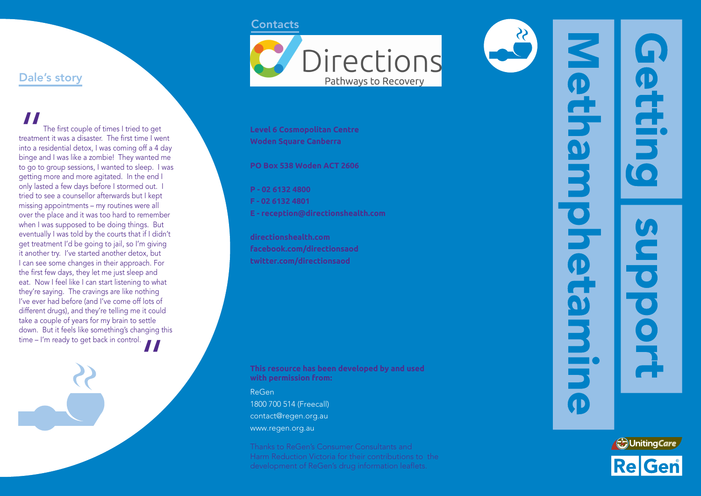### **Contacts**

Dale's story

The first couple of times I tried to get treatment it was a disaster. The first time I went into a residential detox, I was coming off a 4 day binge and I was like a zombie! They wanted me to go to group sessions, I wanted to sleep. I was getting more and more agitated. In the end I only lasted a few days before I stormed out. I tried to see a counsellor afterwards but I kept missing appointments – my routines were all over the place and it was too hard to remember when I was supposed to be doing things. But eventually I was told by the courts that if I didn't get treatment I'd be going to jail, so I'm giving it another try. I've started another detox, but I can see some changes in their approach. For the first few days, they let me just sleep and eat. Now I feel like I can start listening to what they're saying. The cravings are like nothing I've ever had before (and I've come off lots of different drugs), and they're telling me it could take a couple of years for my brain to settle down. But it feels like something's changing this  $t = \frac{1}{2}$  time – I'm ready to get back in control.

"



**Level 6 Cosmopolitan Centre Woden Square Canberra**

**PO Box 538 Woden ACT 2606**

**P - 02 6132 4800 F - 02 6132 4801 E - reception@directionshealth.com**

**directionshealth.com facebook.com/directionsaod twitter.com/directionsaod**

**This resource has been developed by and used with permission from:**

ReGen 1800 700 514 (Freecall) contact@regen.org.au www.regen.org.au

Harm Reduction Victoria for their contributions to the development of ReGen's drug information leaflets.

 $\frac{3}{2}$